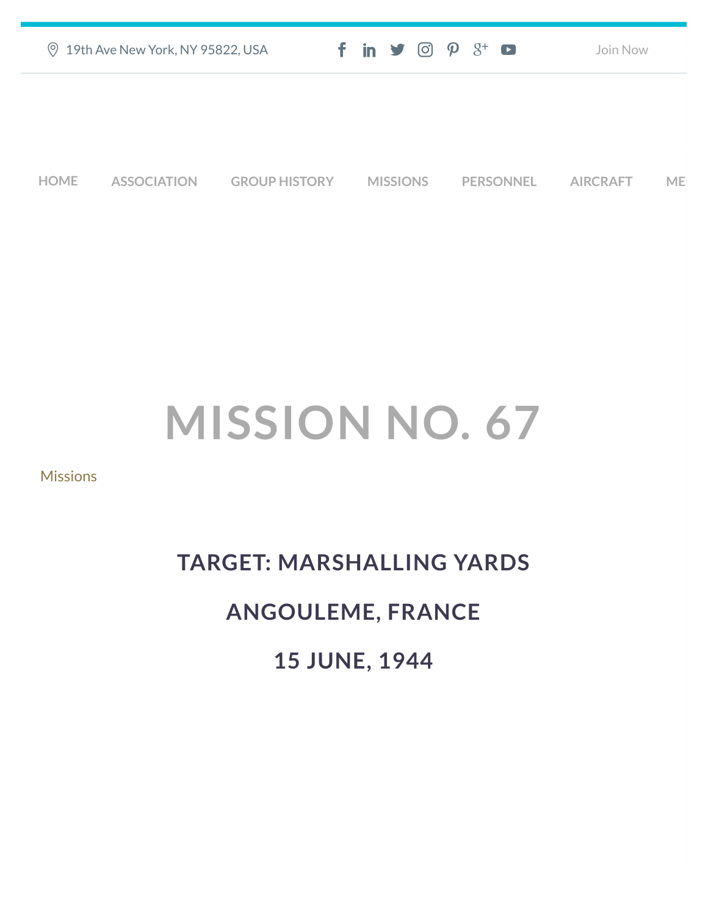| ◎ 19th Ave New York, NY 95822, USA | $f$ in $\blacktriangleright$ $\odot$ $\varphi$ $3$ <sup>+</sup> $\Box$ | Join Now |
|------------------------------------|------------------------------------------------------------------------|----------|
|                                    |                                                                        |          |
|                                    |                                                                        |          |
|                                    |                                                                        |          |

**[HOME](https://457thbombgroupassoc.org/)** [ASSOCIATION](https://457thbombgroupassoc.org/mission-no-67/#) [GROUP HISTORY](https://457thbombgroupassoc.org/mission-no-67/#) [MISSIONS](https://457thbombgroupassoc.org/mission-no-67/#) [PERSONNEL](https://457thbombgroupassoc.org/mission-no-67/#) [AIRCRAFT](https://457thbombgroupassoc.org/mission-no-67/#) [MED](https://457thbombgroupassoc.org/mission-no-67/#)

# **MISSION NO. 67**

### **[Missions](https://457thbombgroupassoc.org/category/missions/)**

# **TARGET: MARSHALLING YARDS ANGOULEME, FRANCE 15 JUNE, 1944**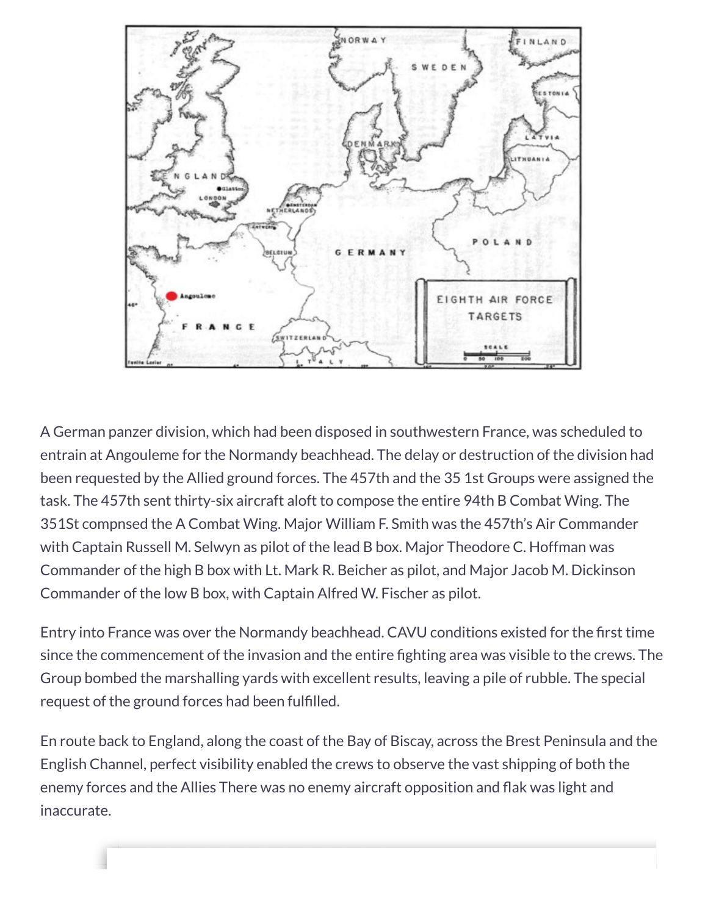

A German panzer division, which had been disposed in southwestern France, was scheduled to entrain at Angouleme for the Normandy beachhead. The delay or destruction of the division had been requested by the Allied ground forces. The 457th and the 35 1st Groups were assigned the task. The 457th sent thirty-six aircraft aloft to compose the entire 94th B Combat Wing. The 351St compnsed the A Combat Wing. Major William F. Smith was the 457th's Air Commander with Captain Russell M. Selwyn as pilot of the lead B box. Major Theodore C. Hoffman was Commander of the high B box with Lt. Mark R. Beicher as pilot, and Major Jacob M. Dickinson Commander of the low B box, with Captain Alfred W. Fischer as pilot.

Entry into France was over the Normandy beachhead. CAVU conditions existed for the first time since the commencement of the invasion and the entire fighting area was visible to the crews. The Group bombed the marshalling yards with excellent results, leaving a pile of rubble. The special request of the ground forces had been fulfilled.

En route back to England, along the coast of the Bay of Biscay, across the Brest Peninsula and the English Channel, perfect visibility enabled the crews to observe the vast shipping of both the enemy forces and the Allies There was no enemy aircraft opposition and flak was light and inaccurate.